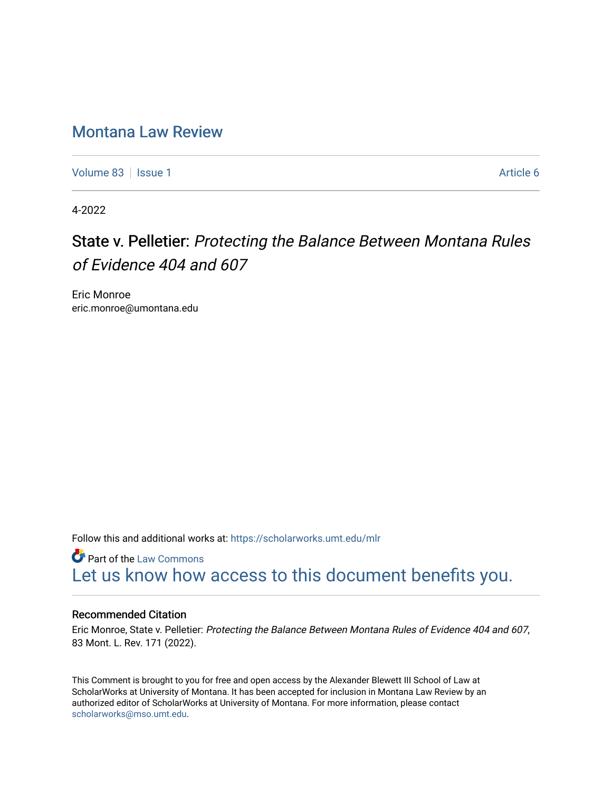# [Montana Law Review](https://scholarworks.umt.edu/mlr)

[Volume 83](https://scholarworks.umt.edu/mlr/vol83) | [Issue 1](https://scholarworks.umt.edu/mlr/vol83/iss1) Article 6

4-2022

# State v. Pelletier: Protecting the Balance Between Montana Rules of Evidence 404 and 607

Eric Monroe eric.monroe@umontana.edu

Follow this and additional works at: [https://scholarworks.umt.edu/mlr](https://scholarworks.umt.edu/mlr?utm_source=scholarworks.umt.edu%2Fmlr%2Fvol83%2Fiss1%2F6&utm_medium=PDF&utm_campaign=PDFCoverPages) 

**Part of the [Law Commons](http://network.bepress.com/hgg/discipline/578?utm_source=scholarworks.umt.edu%2Fmlr%2Fvol83%2Fiss1%2F6&utm_medium=PDF&utm_campaign=PDFCoverPages)** [Let us know how access to this document benefits you.](https://goo.gl/forms/s2rGfXOLzz71qgsB2) 

# Recommended Citation

Eric Monroe, State v. Pelletier: Protecting the Balance Between Montana Rules of Evidence 404 and 607, 83 Mont. L. Rev. 171 (2022).

This Comment is brought to you for free and open access by the Alexander Blewett III School of Law at ScholarWorks at University of Montana. It has been accepted for inclusion in Montana Law Review by an authorized editor of ScholarWorks at University of Montana. For more information, please contact [scholarworks@mso.umt.edu.](mailto:scholarworks@mso.umt.edu)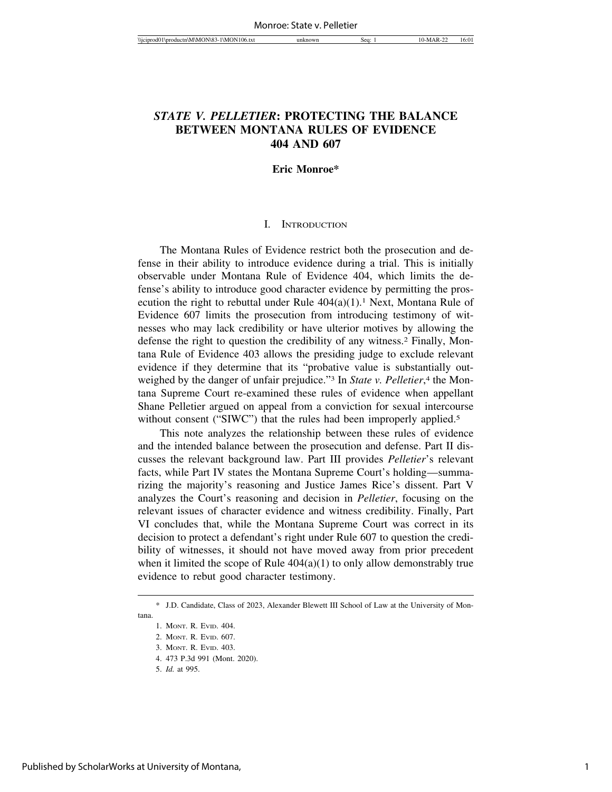# *STATE V. PELLETIER***: PROTECTING THE BALANCE BETWEEN MONTANA RULES OF EVIDENCE 404 AND 607**

#### **Eric Monroe\***

#### I. INTRODUCTION

The Montana Rules of Evidence restrict both the prosecution and defense in their ability to introduce evidence during a trial. This is initially observable under Montana Rule of Evidence 404, which limits the defense's ability to introduce good character evidence by permitting the prosecution the right to rebuttal under Rule  $404(a)(1)$ .<sup>1</sup> Next, Montana Rule of Evidence 607 limits the prosecution from introducing testimony of witnesses who may lack credibility or have ulterior motives by allowing the defense the right to question the credibility of any witness.2 Finally, Montana Rule of Evidence 403 allows the presiding judge to exclude relevant evidence if they determine that its "probative value is substantially outweighed by the danger of unfair prejudice."<sup>3</sup> In *State v. Pelletier*,<sup>4</sup> the Montana Supreme Court re-examined these rules of evidence when appellant Shane Pelletier argued on appeal from a conviction for sexual intercourse without consent ("SIWC") that the rules had been improperly applied.<sup>5</sup>

This note analyzes the relationship between these rules of evidence and the intended balance between the prosecution and defense. Part II discusses the relevant background law. Part III provides *Pelletier*'s relevant facts, while Part IV states the Montana Supreme Court's holding—summarizing the majority's reasoning and Justice James Rice's dissent. Part V analyzes the Court's reasoning and decision in *Pelletier*, focusing on the relevant issues of character evidence and witness credibility. Finally, Part VI concludes that, while the Montana Supreme Court was correct in its decision to protect a defendant's right under Rule 607 to question the credibility of witnesses, it should not have moved away from prior precedent when it limited the scope of Rule  $404(a)(1)$  to only allow demonstrably true evidence to rebut good character testimony.

<sup>\*</sup> J.D. Candidate, Class of 2023, Alexander Blewett III School of Law at the University of Montana.

<sup>1.</sup> MONT. R. EVID. 404.

<sup>2.</sup> MONT. R. EVID. 607.

<sup>3.</sup> MONT. R. EVID. 403.

<sup>4. 473</sup> P.3d 991 (Mont. 2020).

<sup>5.</sup> *Id.* at 995.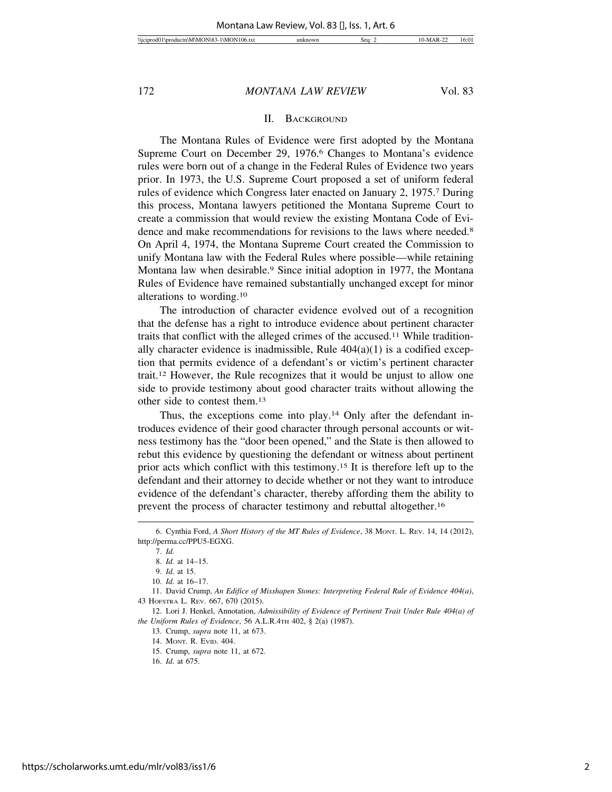#### II. BACKGROUND

The Montana Rules of Evidence were first adopted by the Montana Supreme Court on December 29, 1976.<sup>6</sup> Changes to Montana's evidence rules were born out of a change in the Federal Rules of Evidence two years prior. In 1973, the U.S. Supreme Court proposed a set of uniform federal rules of evidence which Congress later enacted on January 2, 1975.7 During this process, Montana lawyers petitioned the Montana Supreme Court to create a commission that would review the existing Montana Code of Evidence and make recommendations for revisions to the laws where needed.<sup>8</sup> On April 4, 1974, the Montana Supreme Court created the Commission to unify Montana law with the Federal Rules where possible—while retaining Montana law when desirable.9 Since initial adoption in 1977, the Montana Rules of Evidence have remained substantially unchanged except for minor alterations to wording.10

The introduction of character evidence evolved out of a recognition that the defense has a right to introduce evidence about pertinent character traits that conflict with the alleged crimes of the accused.11 While traditionally character evidence is inadmissible, Rule  $404(a)(1)$  is a codified exception that permits evidence of a defendant's or victim's pertinent character trait.12 However, the Rule recognizes that it would be unjust to allow one side to provide testimony about good character traits without allowing the other side to contest them.13

Thus, the exceptions come into play.<sup>14</sup> Only after the defendant introduces evidence of their good character through personal accounts or witness testimony has the "door been opened," and the State is then allowed to rebut this evidence by questioning the defendant or witness about pertinent prior acts which conflict with this testimony.15 It is therefore left up to the defendant and their attorney to decide whether or not they want to introduce evidence of the defendant's character, thereby affording them the ability to prevent the process of character testimony and rebuttal altogether.16

<sup>6.</sup> Cynthia Ford, *A Short History of the MT Rules of Evidence*, 38 MONT. L. REV. 14, 14 (2012), http://perma.cc/PPU5-EGXG.

<sup>7.</sup> *Id.*

<sup>8.</sup> *Id.* at 14–15.

<sup>9.</sup> *Id.* at 15.

<sup>10.</sup> *Id.* at 16–17.

<sup>11.</sup> David Crump, *An Edifice of Misshapen Stones: Interpreting Federal Rule of Evidence 404(a)*, 43 HOFSTRA L. REV. 667, 670 (2015).

<sup>12.</sup> Lori J. Henkel, Annotation, *Admissibility of Evidence of Pertinent Trait Under Rule 404(a) of the Uniform Rules of Evidence*, 56 A.L.R.4TH 402, § 2(a) (1987).

<sup>13.</sup> Crump, *supra* note 11, at 673.

<sup>14.</sup> MONT. R. EVID. 404.

<sup>15.</sup> Crump, *supra* note 11, at 672.

<sup>16.</sup> *Id.* at 675.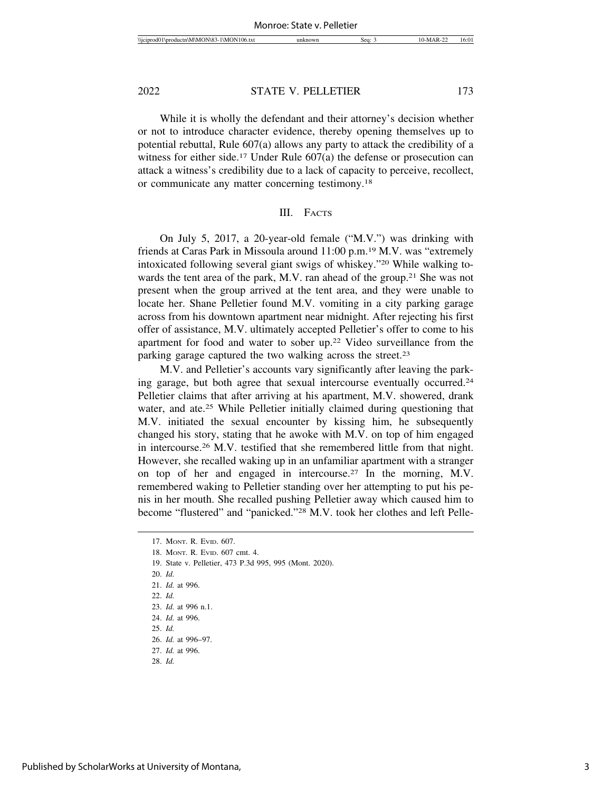While it is wholly the defendant and their attorney's decision whether or not to introduce character evidence, thereby opening themselves up to potential rebuttal, Rule 607(a) allows any party to attack the credibility of a witness for either side.<sup>17</sup> Under Rule 607(a) the defense or prosecution can attack a witness's credibility due to a lack of capacity to perceive, recollect, or communicate any matter concerning testimony.18

#### III. FACTS

On July 5, 2017, a 20-year-old female ("M.V.") was drinking with friends at Caras Park in Missoula around 11:00 p.m.19 M.V. was "extremely intoxicated following several giant swigs of whiskey."20 While walking towards the tent area of the park, M.V. ran ahead of the group.<sup>21</sup> She was not present when the group arrived at the tent area, and they were unable to locate her. Shane Pelletier found M.V. vomiting in a city parking garage across from his downtown apartment near midnight. After rejecting his first offer of assistance, M.V. ultimately accepted Pelletier's offer to come to his apartment for food and water to sober up.22 Video surveillance from the parking garage captured the two walking across the street.23

M.V. and Pelletier's accounts vary significantly after leaving the parking garage, but both agree that sexual intercourse eventually occurred.24 Pelletier claims that after arriving at his apartment, M.V. showered, drank water, and ate.<sup>25</sup> While Pelletier initially claimed during questioning that M.V. initiated the sexual encounter by kissing him, he subsequently changed his story, stating that he awoke with M.V. on top of him engaged in intercourse.26 M.V. testified that she remembered little from that night. However, she recalled waking up in an unfamiliar apartment with a stranger on top of her and engaged in intercourse.27 In the morning, M.V. remembered waking to Pelletier standing over her attempting to put his penis in her mouth. She recalled pushing Pelletier away which caused him to become "flustered" and "panicked."28 M.V. took her clothes and left Pelle-

19. State v. Pelletier, 473 P.3d 995, 995 (Mont. 2020).

- 21. *Id.* at 996.
- 22. *Id.*
- 23. *Id.* at 996 n.1.
- 24. *Id.* at 996.
- 25. *Id.*
- 26. *Id.* at 996–97.
- 27. *Id.* at 996.
- 28. *Id.*

<sup>17.</sup> MONT. R. EVID. 607.

<sup>18.</sup> MONT. R. EVID. 607 cmt. 4.

<sup>20.</sup> *Id.*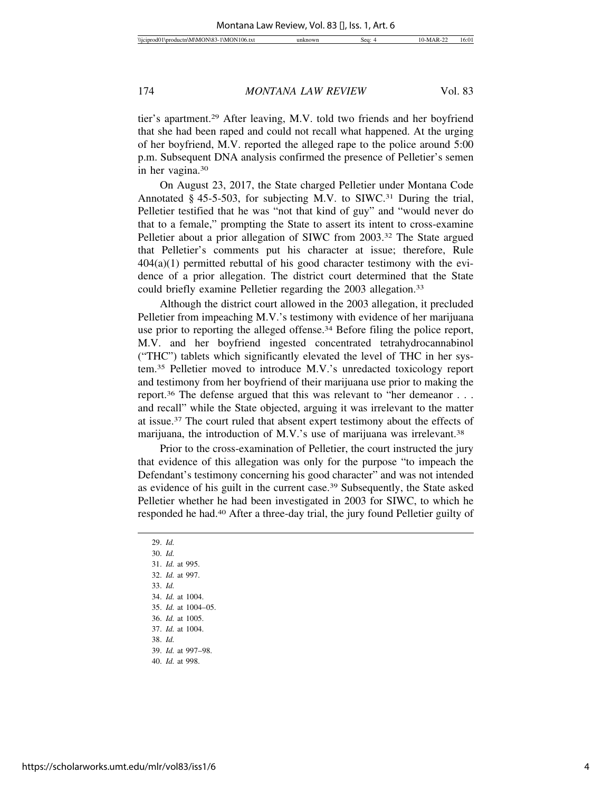tier's apartment.29 After leaving, M.V. told two friends and her boyfriend that she had been raped and could not recall what happened. At the urging of her boyfriend, M.V. reported the alleged rape to the police around 5:00 p.m. Subsequent DNA analysis confirmed the presence of Pelletier's semen in her vagina.30

On August 23, 2017, the State charged Pelletier under Montana Code Annotated § 45-5-503, for subjecting M.V. to SIWC.31 During the trial, Pelletier testified that he was "not that kind of guy" and "would never do that to a female," prompting the State to assert its intent to cross-examine Pelletier about a prior allegation of SIWC from 2003.32 The State argued that Pelletier's comments put his character at issue; therefore, Rule  $404(a)(1)$  permitted rebuttal of his good character testimony with the evidence of a prior allegation. The district court determined that the State could briefly examine Pelletier regarding the 2003 allegation.<sup>33</sup>

Although the district court allowed in the 2003 allegation, it precluded Pelletier from impeaching M.V.'s testimony with evidence of her marijuana use prior to reporting the alleged offense.34 Before filing the police report, M.V. and her boyfriend ingested concentrated tetrahydrocannabinol ("THC") tablets which significantly elevated the level of THC in her system.35 Pelletier moved to introduce M.V.'s unredacted toxicology report and testimony from her boyfriend of their marijuana use prior to making the report.36 The defense argued that this was relevant to "her demeanor . . . and recall" while the State objected, arguing it was irrelevant to the matter at issue.37 The court ruled that absent expert testimony about the effects of marijuana, the introduction of M.V.'s use of marijuana was irrelevant.<sup>38</sup>

Prior to the cross-examination of Pelletier, the court instructed the jury that evidence of this allegation was only for the purpose "to impeach the Defendant's testimony concerning his good character" and was not intended as evidence of his guilt in the current case.39 Subsequently, the State asked Pelletier whether he had been investigated in 2003 for SIWC, to which he responded he had.40 After a three-day trial, the jury found Pelletier guilty of

29. *Id.* 30. *Id.* 31. *Id.* at 995. 32. *Id.* at 997. 33. *Id.* 34. *Id.* at 1004. 35. *Id.* at 1004–05. 36. *Id.* at 1005. 37. *Id.* at 1004. 38. *Id.* 39. *Id.* at 997–98.

<sup>40.</sup> *Id.* at 998.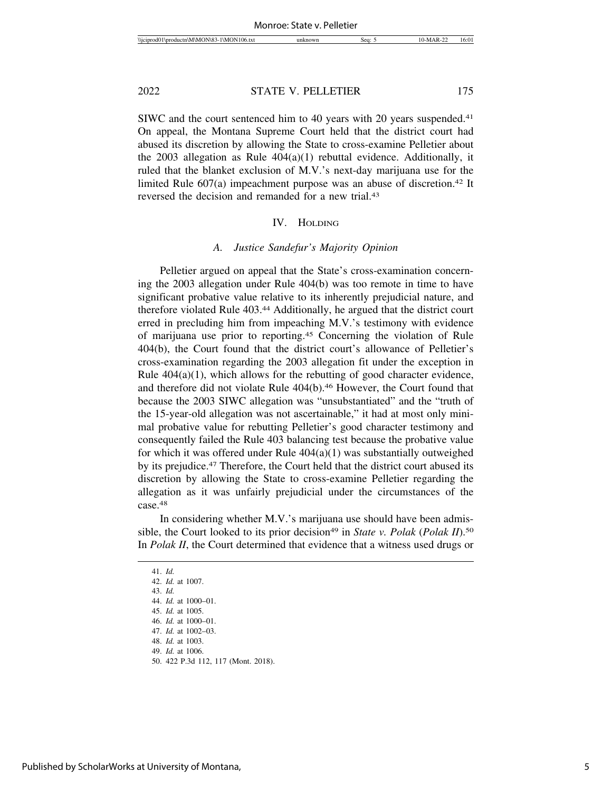SIWC and the court sentenced him to 40 years with 20 years suspended.<sup>41</sup> On appeal, the Montana Supreme Court held that the district court had abused its discretion by allowing the State to cross-examine Pelletier about the 2003 allegation as Rule 404(a)(1) rebuttal evidence. Additionally, it ruled that the blanket exclusion of M.V.'s next-day marijuana use for the limited Rule 607(a) impeachment purpose was an abuse of discretion.<sup>42</sup> It reversed the decision and remanded for a new trial.43

#### IV. HOLDING

#### *A. Justice Sandefur's Majority Opinion*

Pelletier argued on appeal that the State's cross-examination concerning the 2003 allegation under Rule 404(b) was too remote in time to have significant probative value relative to its inherently prejudicial nature, and therefore violated Rule 403.44 Additionally, he argued that the district court erred in precluding him from impeaching M.V.'s testimony with evidence of marijuana use prior to reporting.45 Concerning the violation of Rule 404(b), the Court found that the district court's allowance of Pelletier's cross-examination regarding the 2003 allegation fit under the exception in Rule  $404(a)(1)$ , which allows for the rebutting of good character evidence, and therefore did not violate Rule 404(b).<sup>46</sup> However, the Court found that because the 2003 SIWC allegation was "unsubstantiated" and the "truth of the 15-year-old allegation was not ascertainable," it had at most only minimal probative value for rebutting Pelletier's good character testimony and consequently failed the Rule 403 balancing test because the probative value for which it was offered under Rule 404(a)(1) was substantially outweighed by its prejudice.47 Therefore, the Court held that the district court abused its discretion by allowing the State to cross-examine Pelletier regarding the allegation as it was unfairly prejudicial under the circumstances of the case.48

In considering whether M.V.'s marijuana use should have been admissible, the Court looked to its prior decision<sup>49</sup> in *State v. Polak (Polak II*).<sup>50</sup> In *Polak II*, the Court determined that evidence that a witness used drugs or

<sup>41.</sup> *Id.*

<sup>42.</sup> *Id.* at 1007.

<sup>43.</sup> *Id.*

<sup>44.</sup> *Id.* at 1000–01.

<sup>45.</sup> *Id.* at 1005.

<sup>46.</sup> *Id.* at 1000–01.

<sup>47.</sup> *Id.* at 1002–03.

<sup>48.</sup> *Id.* at 1003.

<sup>49.</sup> *Id.* at 1006.

<sup>50. 422</sup> P.3d 112, 117 (Mont. 2018).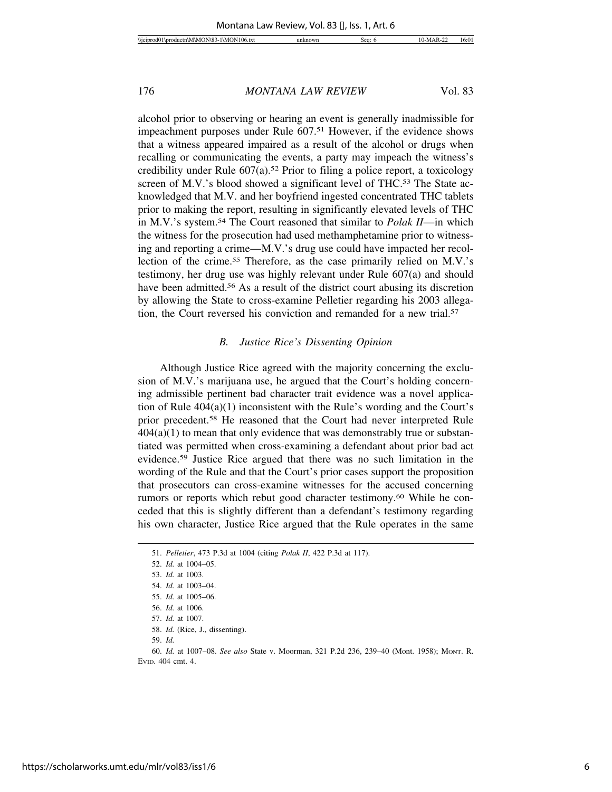alcohol prior to observing or hearing an event is generally inadmissible for impeachment purposes under Rule 607.51 However, if the evidence shows that a witness appeared impaired as a result of the alcohol or drugs when recalling or communicating the events, a party may impeach the witness's credibility under Rule 607(a).52 Prior to filing a police report, a toxicology screen of M.V.'s blood showed a significant level of THC.<sup>53</sup> The State acknowledged that M.V. and her boyfriend ingested concentrated THC tablets prior to making the report, resulting in significantly elevated levels of THC in M.V.'s system.54 The Court reasoned that similar to *Polak II*—in which the witness for the prosecution had used methamphetamine prior to witnessing and reporting a crime—M.V.'s drug use could have impacted her recollection of the crime.55 Therefore, as the case primarily relied on M.V.'s testimony, her drug use was highly relevant under Rule 607(a) and should have been admitted.<sup>56</sup> As a result of the district court abusing its discretion by allowing the State to cross-examine Pelletier regarding his 2003 allegation, the Court reversed his conviction and remanded for a new trial.57

#### *B. Justice Rice's Dissenting Opinion*

Although Justice Rice agreed with the majority concerning the exclusion of M.V.'s marijuana use, he argued that the Court's holding concerning admissible pertinent bad character trait evidence was a novel application of Rule 404(a)(1) inconsistent with the Rule's wording and the Court's prior precedent.58 He reasoned that the Court had never interpreted Rule  $404(a)(1)$  to mean that only evidence that was demonstrably true or substantiated was permitted when cross-examining a defendant about prior bad act evidence.59 Justice Rice argued that there was no such limitation in the wording of the Rule and that the Court's prior cases support the proposition that prosecutors can cross-examine witnesses for the accused concerning rumors or reports which rebut good character testimony.60 While he conceded that this is slightly different than a defendant's testimony regarding his own character, Justice Rice argued that the Rule operates in the same

59. *Id.*

60. *Id.* at 1007–08. *See also* State v. Moorman, 321 P.2d 236, 239–40 (Mont. 1958); MONT. R. EVID. 404 cmt. 4.

<sup>51.</sup> *Pelletier*, 473 P.3d at 1004 (citing *Polak II*, 422 P.3d at 117).

<sup>52.</sup> *Id.* at 1004–05.

<sup>53.</sup> *Id.* at 1003.

<sup>54.</sup> *Id.* at 1003–04.

<sup>55.</sup> *Id.* at 1005–06.

<sup>56.</sup> *Id.* at 1006.

<sup>57.</sup> *Id.* at 1007.

<sup>58.</sup> *Id.* (Rice, J., dissenting).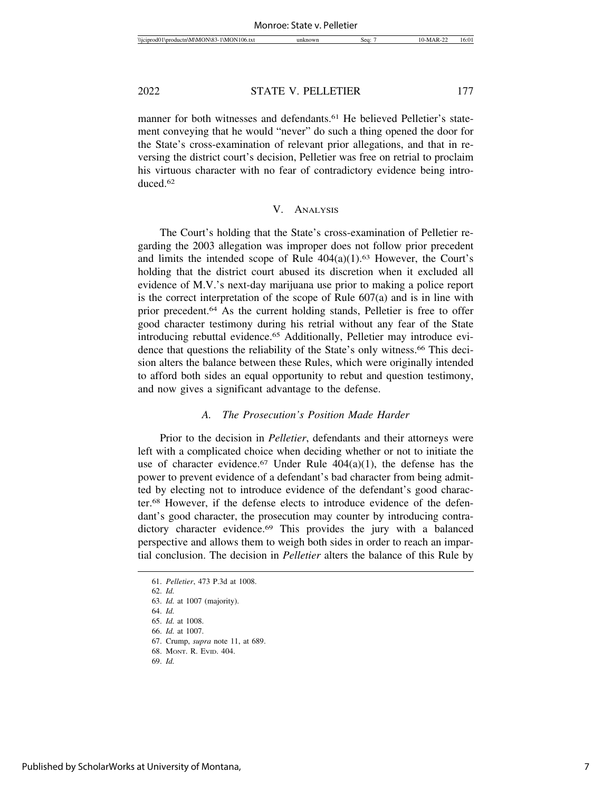manner for both witnesses and defendants.<sup>61</sup> He believed Pelletier's statement conveying that he would "never" do such a thing opened the door for the State's cross-examination of relevant prior allegations, and that in reversing the district court's decision, Pelletier was free on retrial to proclaim his virtuous character with no fear of contradictory evidence being introduced.62

# V. ANALYSIS

The Court's holding that the State's cross-examination of Pelletier regarding the 2003 allegation was improper does not follow prior precedent and limits the intended scope of Rule  $404(a)(1)$ .<sup>63</sup> However, the Court's holding that the district court abused its discretion when it excluded all evidence of M.V.'s next-day marijuana use prior to making a police report is the correct interpretation of the scope of Rule 607(a) and is in line with prior precedent.64 As the current holding stands, Pelletier is free to offer good character testimony during his retrial without any fear of the State introducing rebuttal evidence.65 Additionally, Pelletier may introduce evidence that questions the reliability of the State's only witness.66 This decision alters the balance between these Rules, which were originally intended to afford both sides an equal opportunity to rebut and question testimony, and now gives a significant advantage to the defense.

# *A. The Prosecution's Position Made Harder*

Prior to the decision in *Pelletier*, defendants and their attorneys were left with a complicated choice when deciding whether or not to initiate the use of character evidence.<sup>67</sup> Under Rule  $404(a)(1)$ , the defense has the power to prevent evidence of a defendant's bad character from being admitted by electing not to introduce evidence of the defendant's good character.68 However, if the defense elects to introduce evidence of the defendant's good character, the prosecution may counter by introducing contradictory character evidence.<sup>69</sup> This provides the jury with a balanced perspective and allows them to weigh both sides in order to reach an impartial conclusion. The decision in *Pelletier* alters the balance of this Rule by

<sup>61.</sup> *Pelletier*, 473 P.3d at 1008.

<sup>62.</sup> *Id.*

<sup>63.</sup> *Id.* at 1007 (majority).

<sup>64.</sup> *Id.*

<sup>65.</sup> *Id.* at 1008.

<sup>66.</sup> *Id.* at 1007.

<sup>67.</sup> Crump, *supra* note 11, at 689.

<sup>68.</sup> MONT. R. EVID. 404.

<sup>69.</sup> *Id.*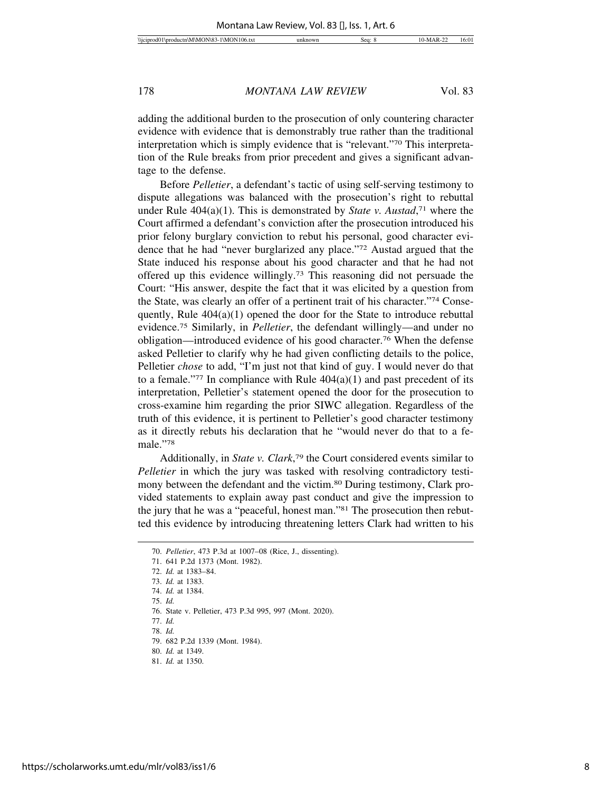adding the additional burden to the prosecution of only countering character evidence with evidence that is demonstrably true rather than the traditional interpretation which is simply evidence that is "relevant."70 This interpretation of the Rule breaks from prior precedent and gives a significant advantage to the defense.

Before *Pelletier*, a defendant's tactic of using self-serving testimony to dispute allegations was balanced with the prosecution's right to rebuttal under Rule 404(a)(1). This is demonstrated by *State v. Austad*, 71 where the Court affirmed a defendant's conviction after the prosecution introduced his prior felony burglary conviction to rebut his personal, good character evidence that he had "never burglarized any place."72 Austad argued that the State induced his response about his good character and that he had not offered up this evidence willingly.73 This reasoning did not persuade the Court: "His answer, despite the fact that it was elicited by a question from the State, was clearly an offer of a pertinent trait of his character."74 Consequently, Rule  $404(a)(1)$  opened the door for the State to introduce rebuttal evidence.75 Similarly, in *Pelletier*, the defendant willingly—and under no obligation—introduced evidence of his good character.76 When the defense asked Pelletier to clarify why he had given conflicting details to the police, Pelletier *chose* to add, "I'm just not that kind of guy. I would never do that to a female."<sup>77</sup> In compliance with Rule  $404(a)(1)$  and past precedent of its interpretation, Pelletier's statement opened the door for the prosecution to cross-examine him regarding the prior SIWC allegation. Regardless of the truth of this evidence, it is pertinent to Pelletier's good character testimony as it directly rebuts his declaration that he "would never do that to a female."78

Additionally, in *State v. Clark*, 79 the Court considered events similar to *Pelletier* in which the jury was tasked with resolving contradictory testimony between the defendant and the victim.80 During testimony, Clark provided statements to explain away past conduct and give the impression to the jury that he was a "peaceful, honest man."81 The prosecution then rebutted this evidence by introducing threatening letters Clark had written to his

77. *Id.*

78. *Id.*

<sup>70.</sup> *Pelletier*, 473 P.3d at 1007–08 (Rice, J., dissenting).

<sup>71. 641</sup> P.2d 1373 (Mont. 1982).

<sup>72.</sup> *Id.* at 1383–84.

<sup>73.</sup> *Id.* at 1383. 74. *Id.* at 1384.

<sup>75.</sup> *Id.*

<sup>76.</sup> State v. Pelletier, 473 P.3d 995, 997 (Mont. 2020).

<sup>79. 682</sup> P.2d 1339 (Mont. 1984).

<sup>80.</sup> *Id.* at 1349. 81. *Id.* at 1350.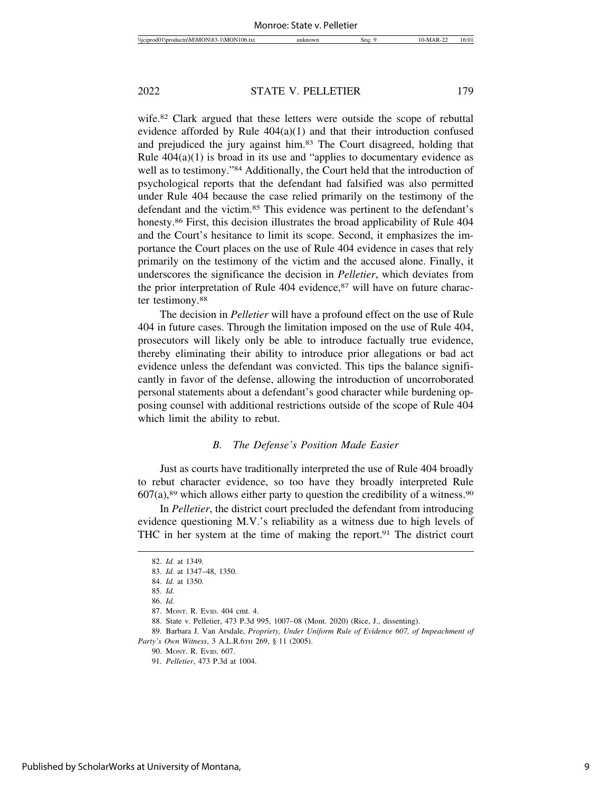wife.82 Clark argued that these letters were outside the scope of rebuttal evidence afforded by Rule 404(a)(1) and that their introduction confused and prejudiced the jury against him.83 The Court disagreed, holding that Rule  $404(a)(1)$  is broad in its use and "applies to documentary evidence as well as to testimony."84 Additionally, the Court held that the introduction of psychological reports that the defendant had falsified was also permitted under Rule 404 because the case relied primarily on the testimony of the defendant and the victim.85 This evidence was pertinent to the defendant's honesty.<sup>86</sup> First, this decision illustrates the broad applicability of Rule 404 and the Court's hesitance to limit its scope. Second, it emphasizes the importance the Court places on the use of Rule 404 evidence in cases that rely primarily on the testimony of the victim and the accused alone. Finally, it underscores the significance the decision in *Pelletier*, which deviates from the prior interpretation of Rule 404 evidence,<sup>87</sup> will have on future character testimony.<sup>88</sup>

The decision in *Pelletier* will have a profound effect on the use of Rule 404 in future cases. Through the limitation imposed on the use of Rule 404, prosecutors will likely only be able to introduce factually true evidence, thereby eliminating their ability to introduce prior allegations or bad act evidence unless the defendant was convicted. This tips the balance significantly in favor of the defense, allowing the introduction of uncorroborated personal statements about a defendant's good character while burdening opposing counsel with additional restrictions outside of the scope of Rule 404 which limit the ability to rebut.

# *B. The Defense's Position Made Easier*

Just as courts have traditionally interpreted the use of Rule 404 broadly to rebut character evidence, so too have they broadly interpreted Rule  $607(a)$ ,<sup>89</sup> which allows either party to question the credibility of a witness.<sup>90</sup>

In *Pelletier*, the district court precluded the defendant from introducing evidence questioning M.V.'s reliability as a witness due to high levels of THC in her system at the time of making the report.91 The district court

<sup>82.</sup> *Id.* at 1349.

<sup>83.</sup> *Id.* at 1347–48, 1350.

<sup>84.</sup> *Id.* at 1350.

<sup>85.</sup> *Id.*

<sup>86.</sup> *Id.*

<sup>87.</sup> MONT. R. EVID. 404 cmt. 4.

<sup>88.</sup> State v. Pelletier, 473 P.3d 995, 1007–08 (Mont. 2020) (Rice, J., dissenting).

<sup>89.</sup> Barbara J. Van Arsdale, *Propriety, Under Uniform Rule of Evidence 607, of Impeachment of Party's Own Witness*, 3 A.L.R.6TH 269, § 11 (2005).

<sup>90.</sup> MONT. R. EVID. 607.

<sup>91.</sup> *Pelletier*, 473 P.3d at 1004.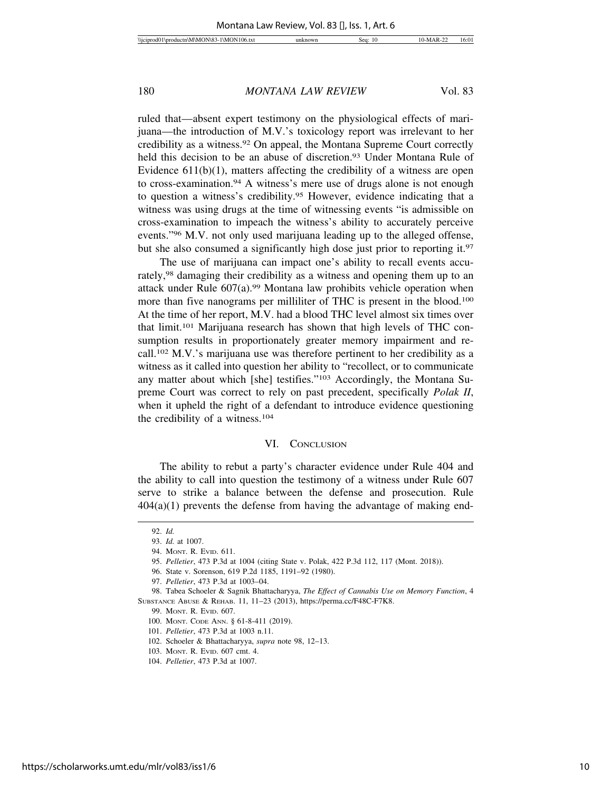ruled that—absent expert testimony on the physiological effects of marijuana—the introduction of M.V.'s toxicology report was irrelevant to her credibility as a witness.92 On appeal, the Montana Supreme Court correctly held this decision to be an abuse of discretion.<sup>93</sup> Under Montana Rule of Evidence  $611(b)(1)$ , matters affecting the credibility of a witness are open to cross-examination.94 A witness's mere use of drugs alone is not enough to question a witness's credibility.95 However, evidence indicating that a witness was using drugs at the time of witnessing events "is admissible on cross-examination to impeach the witness's ability to accurately perceive events."96 M.V. not only used marijuana leading up to the alleged offense, but she also consumed a significantly high dose just prior to reporting it.<sup>97</sup>

The use of marijuana can impact one's ability to recall events accurately,98 damaging their credibility as a witness and opening them up to an attack under Rule  $607(a)$ .<sup>99</sup> Montana law prohibits vehicle operation when more than five nanograms per milliliter of THC is present in the blood.<sup>100</sup> At the time of her report, M.V. had a blood THC level almost six times over that limit.101 Marijuana research has shown that high levels of THC consumption results in proportionately greater memory impairment and recall.102 M.V.'s marijuana use was therefore pertinent to her credibility as a witness as it called into question her ability to "recollect, or to communicate any matter about which [she] testifies."103 Accordingly, the Montana Supreme Court was correct to rely on past precedent, specifically *Polak II*, when it upheld the right of a defendant to introduce evidence questioning the credibility of a witness.104

# VI. CONCLUSION

The ability to rebut a party's character evidence under Rule 404 and the ability to call into question the testimony of a witness under Rule 607 serve to strike a balance between the defense and prosecution. Rule  $404(a)(1)$  prevents the defense from having the advantage of making end-

<sup>92.</sup> *Id.*

<sup>93.</sup> *Id.* at 1007.

<sup>94.</sup> MONT. R. EVID. 611.

<sup>95.</sup> *Pelletier*, 473 P.3d at 1004 (citing State v. Polak, 422 P.3d 112, 117 (Mont. 2018)).

<sup>96.</sup> State v. Sorenson, 619 P.2d 1185, 1191–92 (1980).

<sup>97.</sup> *Pelletier*, 473 P.3d at 1003–04.

<sup>98.</sup> Tabea Schoeler & Sagnik Bhattacharyya, *The Effect of Cannabis Use on Memory Function*, 4 SUBSTANCE ABUSE & REHAB. 11, 11–23 (2013), https://perma.cc/F48C-F7K8.

<sup>99.</sup> MONT. R. EVID. 607.

<sup>100.</sup> MONT. CODE ANN. § 61-8-411 (2019).

<sup>101.</sup> *Pelletier*, 473 P.3d at 1003 n.11.

<sup>102.</sup> Schoeler & Bhattacharyya, *supra* note 98, 12–13.

<sup>103.</sup> MONT. R. EVID. 607 cmt. 4.

<sup>104.</sup> *Pelletier*, 473 P.3d at 1007.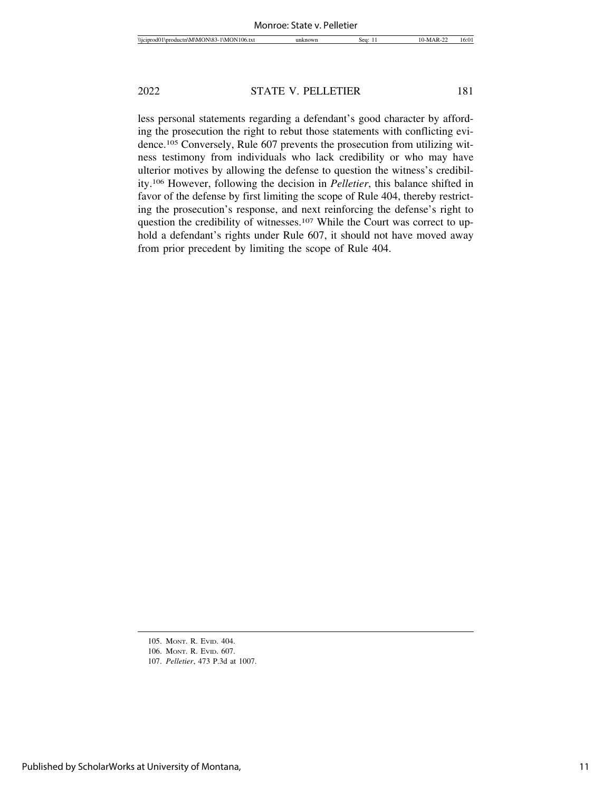less personal statements regarding a defendant's good character by affording the prosecution the right to rebut those statements with conflicting evidence.105 Conversely, Rule 607 prevents the prosecution from utilizing witness testimony from individuals who lack credibility or who may have ulterior motives by allowing the defense to question the witness's credibility.106 However, following the decision in *Pelletier*, this balance shifted in favor of the defense by first limiting the scope of Rule 404, thereby restricting the prosecution's response, and next reinforcing the defense's right to question the credibility of witnesses.<sup>107</sup> While the Court was correct to uphold a defendant's rights under Rule 607, it should not have moved away from prior precedent by limiting the scope of Rule 404.

<sup>105.</sup> MONT. R. EVID. 404.

<sup>106.</sup> MONT. R. EVID. 607.

<sup>107.</sup> *Pelletier*, 473 P.3d at 1007.